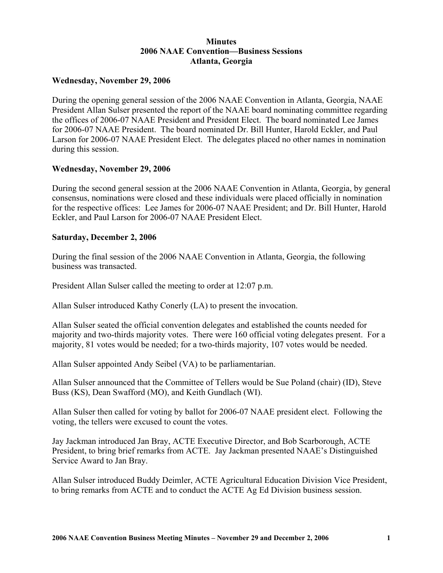# **Minutes 2006 NAAE Convention—Business Sessions Atlanta, Georgia**

## **Wednesday, November 29, 2006**

During the opening general session of the 2006 NAAE Convention in Atlanta, Georgia, NAAE President Allan Sulser presented the report of the NAAE board nominating committee regarding the offices of 2006-07 NAAE President and President Elect. The board nominated Lee James for 2006-07 NAAE President. The board nominated Dr. Bill Hunter, Harold Eckler, and Paul Larson for 2006-07 NAAE President Elect. The delegates placed no other names in nomination during this session.

### **Wednesday, November 29, 2006**

During the second general session at the 2006 NAAE Convention in Atlanta, Georgia, by general consensus, nominations were closed and these individuals were placed officially in nomination for the respective offices: Lee James for 2006-07 NAAE President; and Dr. Bill Hunter, Harold Eckler, and Paul Larson for 2006-07 NAAE President Elect.

## **Saturday, December 2, 2006**

During the final session of the 2006 NAAE Convention in Atlanta, Georgia, the following business was transacted.

President Allan Sulser called the meeting to order at 12:07 p.m.

Allan Sulser introduced Kathy Conerly (LA) to present the invocation.

Allan Sulser seated the official convention delegates and established the counts needed for majority and two-thirds majority votes. There were 160 official voting delegates present. For a majority, 81 votes would be needed; for a two-thirds majority, 107 votes would be needed.

Allan Sulser appointed Andy Seibel (VA) to be parliamentarian.

Allan Sulser announced that the Committee of Tellers would be Sue Poland (chair) (ID), Steve Buss (KS), Dean Swafford (MO), and Keith Gundlach (WI).

Allan Sulser then called for voting by ballot for 2006-07 NAAE president elect. Following the voting, the tellers were excused to count the votes.

Jay Jackman introduced Jan Bray, ACTE Executive Director, and Bob Scarborough, ACTE President, to bring brief remarks from ACTE. Jay Jackman presented NAAE's Distinguished Service Award to Jan Bray.

Allan Sulser introduced Buddy Deimler, ACTE Agricultural Education Division Vice President, to bring remarks from ACTE and to conduct the ACTE Ag Ed Division business session.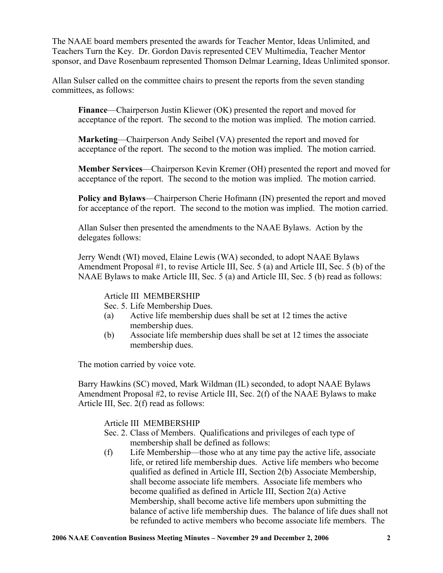The NAAE board members presented the awards for Teacher Mentor, Ideas Unlimited, and Teachers Turn the Key. Dr. Gordon Davis represented CEV Multimedia, Teacher Mentor sponsor, and Dave Rosenbaum represented Thomson Delmar Learning, Ideas Unlimited sponsor.

Allan Sulser called on the committee chairs to present the reports from the seven standing committees, as follows:

**Finance**—Chairperson Justin Kliewer (OK) presented the report and moved for acceptance of the report. The second to the motion was implied. The motion carried.

**Marketing**—Chairperson Andy Seibel (VA) presented the report and moved for acceptance of the report. The second to the motion was implied. The motion carried.

**Member Services**—Chairperson Kevin Kremer (OH) presented the report and moved for acceptance of the report. The second to the motion was implied. The motion carried.

**Policy and Bylaws**—Chairperson Cherie Hofmann (IN) presented the report and moved for acceptance of the report. The second to the motion was implied. The motion carried.

Allan Sulser then presented the amendments to the NAAE Bylaws. Action by the delegates follows:

Jerry Wendt (WI) moved, Elaine Lewis (WA) seconded, to adopt NAAE Bylaws Amendment Proposal #1, to revise Article III, Sec. 5 (a) and Article III, Sec. 5 (b) of the NAAE Bylaws to make Article III, Sec. 5 (a) and Article III, Sec. 5 (b) read as follows:

Article III MEMBERSHIP

Sec. 5. Life Membership Dues.

- (a) Active life membership dues shall be set at 12 times the active membership dues.
- (b) Associate life membership dues shall be set at 12 times the associate membership dues.

The motion carried by voice vote.

Barry Hawkins (SC) moved, Mark Wildman (IL) seconded, to adopt NAAE Bylaws Amendment Proposal #2, to revise Article III, Sec. 2(f) of the NAAE Bylaws to make Article III, Sec. 2(f) read as follows:

Article III MEMBERSHIP

- Sec. 2. Class of Members. Qualifications and privileges of each type of membership shall be defined as follows:
- (f) Life Membership—those who at any time pay the active life, associate life, or retired life membership dues. Active life members who become qualified as defined in Article III, Section 2(b) Associate Membership, shall become associate life members. Associate life members who become qualified as defined in Article III, Section 2(a) Active Membership, shall become active life members upon submitting the balance of active life membership dues. The balance of life dues shall not be refunded to active members who become associate life members. The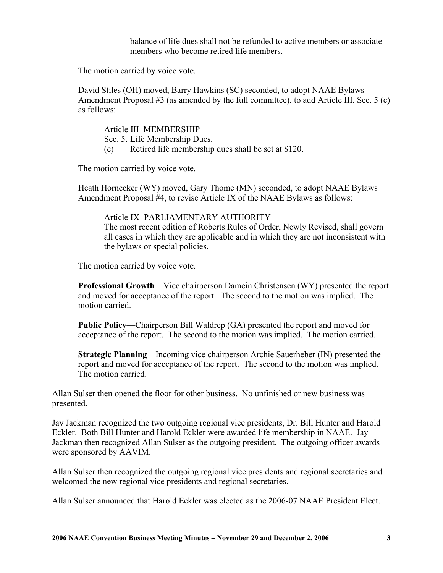balance of life dues shall not be refunded to active members or associate members who become retired life members.

The motion carried by voice vote.

David Stiles (OH) moved, Barry Hawkins (SC) seconded, to adopt NAAE Bylaws Amendment Proposal #3 (as amended by the full committee), to add Article III, Sec. 5 (c) as follows:

Article III MEMBERSHIP

- Sec. 5. Life Membership Dues.
- (c) Retired life membership dues shall be set at \$120.

The motion carried by voice vote.

Heath Hornecker (WY) moved, Gary Thome (MN) seconded, to adopt NAAE Bylaws Amendment Proposal #4, to revise Article IX of the NAAE Bylaws as follows:

### Article IX PARLIAMENTARY AUTHORITY

The most recent edition of Roberts Rules of Order, Newly Revised, shall govern all cases in which they are applicable and in which they are not inconsistent with the bylaws or special policies.

The motion carried by voice vote.

**Professional Growth**—Vice chairperson Damein Christensen (WY) presented the report and moved for acceptance of the report. The second to the motion was implied. The motion carried.

**Public Policy**—Chairperson Bill Waldrep (GA) presented the report and moved for acceptance of the report. The second to the motion was implied. The motion carried.

**Strategic Planning**—Incoming vice chairperson Archie Sauerheber (IN) presented the report and moved for acceptance of the report. The second to the motion was implied. The motion carried.

Allan Sulser then opened the floor for other business. No unfinished or new business was presented.

Jay Jackman recognized the two outgoing regional vice presidents, Dr. Bill Hunter and Harold Eckler. Both Bill Hunter and Harold Eckler were awarded life membership in NAAE. Jay Jackman then recognized Allan Sulser as the outgoing president. The outgoing officer awards were sponsored by AAVIM.

Allan Sulser then recognized the outgoing regional vice presidents and regional secretaries and welcomed the new regional vice presidents and regional secretaries.

Allan Sulser announced that Harold Eckler was elected as the 2006-07 NAAE President Elect.